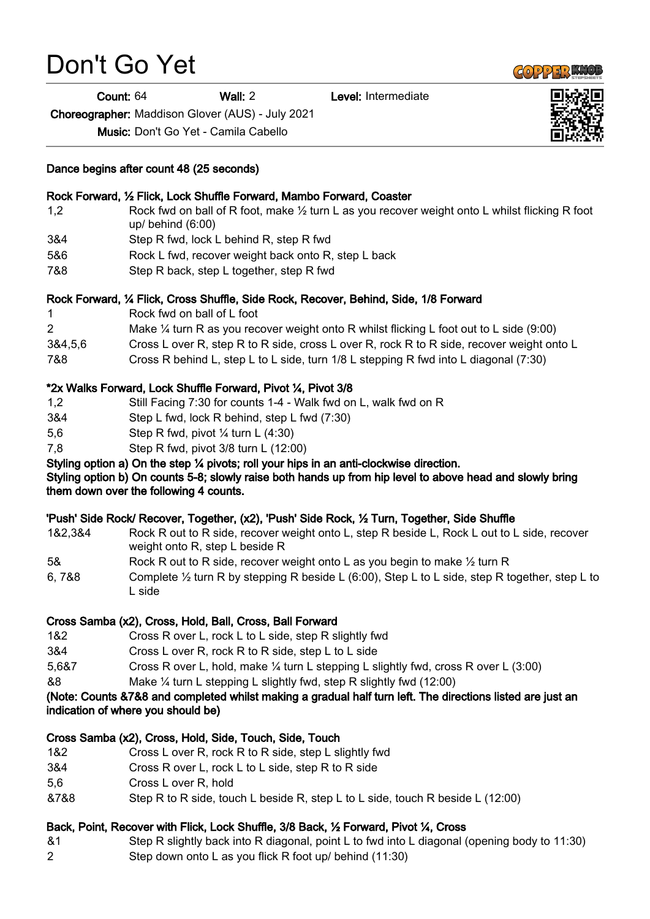# Don't Go Yet

Count: 64 Wall: 2 Level: Intermediate

Choreographer: Maddison Glover (AUS) - July 2021

Music: Don't Go Yet - Camila Cabello

### Dance begins after count 48 (25 seconds)

## 1,2 Rock fwd on ball of R foot, make ½ turn L as you recover weight onto L whilst flicking R foot up/ behind (6:00) 3&4 Step R fwd, lock L behind R, step R fwd 5&6 Rock L fwd, recover weight back onto R, step L back 7&8 Step R back, step L together, step R fwd Rock Forward, ¼ Flick, Cross Shuffle, Side Rock, Recover, Behind, Side, 1/8 Forward 1 Rock fwd on ball of L foot 2 Make ¼ turn R as you recover weight onto R whilst flicking L foot out to L side (9:00) 3&4,5,6 Cross L over R, step R to R side, cross L over R, rock R to R side, recover weight onto L 7&8 Cross R behind L, step L to L side, turn 1/8 L stepping R fwd into L diagonal (7:30) \*2x Walks Forward, Lock Shuffle Forward, Pivot ¼, Pivot 3/8 1,2 Still Facing 7:30 for counts 1-4 - Walk fwd on L, walk fwd on R 3&4 Step L fwd, lock R behind, step L fwd (7:30) 5,6 Step R fwd, pivot ¼ turn L (4:30) 7,8 Step R fwd, pivot 3/8 turn L (12:00) Styling option a) On the step ¼ pivots; roll your hips in an anti-clockwise direction. Styling option b) On counts 5-8; slowly raise both hands up from hip level to above head and slowly bring them down over the following 4 counts. 'Push' Side Rock/ Recover, Together, (x2), 'Push' Side Rock, ½ Turn, Together, Side Shuffle 1&2,3&4 Rock R out to R side, recover weight onto L, step R beside L, Rock L out to L side, recover weight onto R, step L beside R 5& Rock R out to R side, recover weight onto L as you begin to make  $\frac{1}{2}$  turn R 6, 7&8 Complete ½ turn R by stepping R beside L (6:00), Step L to L side, step R together, step L to L side Cross Samba (x2), Cross, Hold, Ball, Cross, Ball Forward 1&2 Cross R over L, rock L to L side, step R slightly fwd 3&4 Cross L over R, rock R to R side, step L to L side 5,6&7 Cross R over L, hold, make ¼ turn L stepping L slightly fwd, cross R over L (3:00) &8 Make ¼ turn L stepping L slightly fwd, step R slightly fwd (12:00) (Note: Counts &7&8 and completed whilst making a gradual half turn left. The directions listed are just an indication of where you should be) Cross Samba (x2), Cross, Hold, Side, Touch, Side, Touch 1&2 Cross L over R, rock R to R side, step L slightly fwd 3&4 Cross R over L, rock L to L side, step R to R side 5,6 Cross L over R, hold

&7&8 Step R to R side, touch L beside R, step L to L side, touch R beside L (12:00)

### Back, Point, Recover with Flick, Lock Shuffle, 3/8 Back, ½ Forward, Pivot ¼, Cross

&1 Step R slightly back into R diagonal, point L to fwd into L diagonal (opening body to 11:30) 2 Step down onto L as you flick R foot up/ behind (11:30)



Rock Forward, ½ Flick, Lock Shuffle Forward, Mambo Forward, Coaster